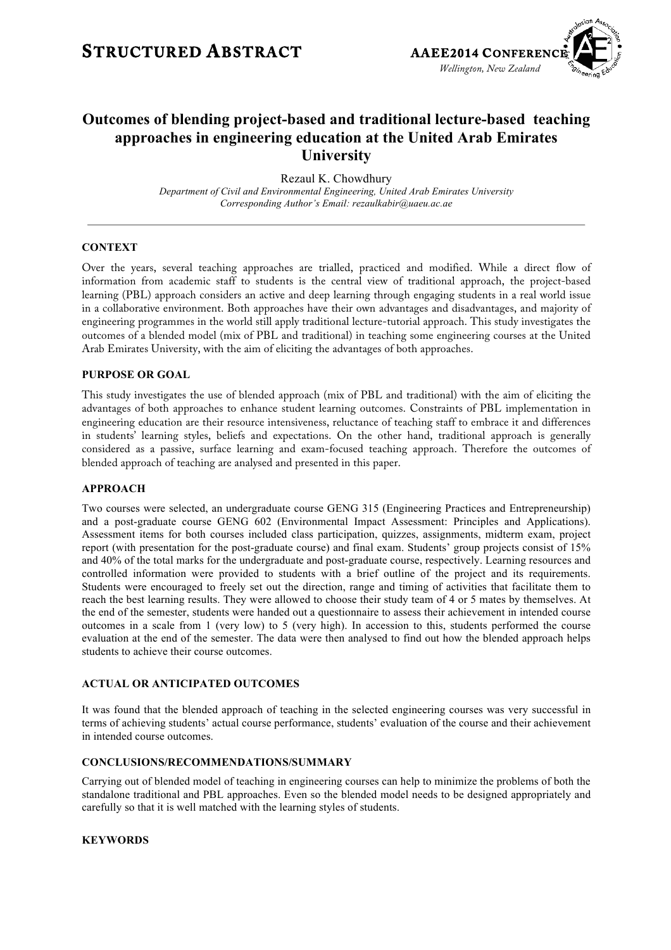### **STRUCTURED ABSTRACT AAEE2014 CONFERENC**



### **Outcomes of blending project-based and traditional lecture-based teaching approaches in engineering education at the United Arab Emirates University**

Rezaul K. Chowdhury *Department of Civil and Environmental Engineering, United Arab Emirates University Corresponding Author's Email: rezaulkabir@uaeu.ac.ae* 

### **CONTEXT**

Over the years, several teaching approaches are trialled, practiced and modified. While a direct flow of information from academic staff to students is the central view of traditional approach, the project-based learning (PBL) approach considers an active and deep learning through engaging students in a real world issue in a collaborative environment. Both approaches have their own advantages and disadvantages, and majority of engineering programmes in the world still apply traditional lecture-tutorial approach. This study investigates the outcomes of a blended model (mix of PBL and traditional) in teaching some engineering courses at the United Arab Emirates University, with the aim of eliciting the advantages of both approaches.

### **PURPOSE OR GOAL**

This study investigates the use of blended approach (mix of PBL and traditional) with the aim of eliciting the advantages of both approaches to enhance student learning outcomes. Constraints of PBL implementation in engineering education are their resource intensiveness, reluctance of teaching staff to embrace it and differences in students' learning styles, beliefs and expectations. On the other hand, traditional approach is generally considered as a passive, surface learning and exam-focused teaching approach. Therefore the outcomes of blended approach of teaching are analysed and presented in this paper.

### **APPROACH**

Two courses were selected, an undergraduate course GENG 315 (Engineering Practices and Entrepreneurship) and a post-graduate course GENG 602 (Environmental Impact Assessment: Principles and Applications). Assessment items for both courses included class participation, quizzes, assignments, midterm exam, project report (with presentation for the post-graduate course) and final exam. Students' group projects consist of 15% and 40% of the total marks for the undergraduate and post-graduate course, respectively. Learning resources and controlled information were provided to students with a brief outline of the project and its requirements. Students were encouraged to freely set out the direction, range and timing of activities that facilitate them to reach the best learning results. They were allowed to choose their study team of 4 or 5 mates by themselves. At the end of the semester, students were handed out a questionnaire to assess their achievement in intended course outcomes in a scale from 1 (very low) to 5 (very high). In accession to this, students performed the course evaluation at the end of the semester. The data were then analysed to find out how the blended approach helps students to achieve their course outcomes.

### **ACTUAL OR ANTICIPATED OUTCOMES**

It was found that the blended approach of teaching in the selected engineering courses was very successful in terms of achieving students' actual course performance, students' evaluation of the course and their achievement in intended course outcomes.

#### **CONCLUSIONS/RECOMMENDATIONS/SUMMARY**

Carrying out of blended model of teaching in engineering courses can help to minimize the problems of both the standalone traditional and PBL approaches. Even so the blended model needs to be designed appropriately and carefully so that it is well matched with the learning styles of students.

### **KEYWORDS**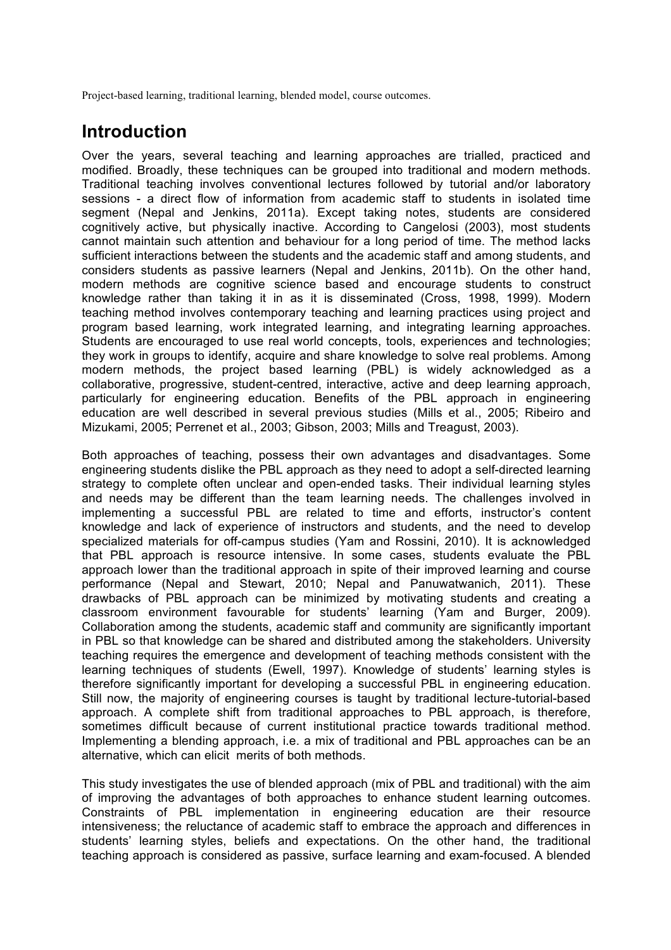Project-based learning, traditional learning, blended model, course outcomes.

### **Introduction**

Over the years, several teaching and learning approaches are trialled, practiced and modified. Broadly, these techniques can be grouped into traditional and modern methods. Traditional teaching involves conventional lectures followed by tutorial and/or laboratory sessions - a direct flow of information from academic staff to students in isolated time segment (Nepal and Jenkins, 2011a). Except taking notes, students are considered cognitively active, but physically inactive. According to Cangelosi (2003), most students cannot maintain such attention and behaviour for a long period of time. The method lacks sufficient interactions between the students and the academic staff and among students, and considers students as passive learners (Nepal and Jenkins, 2011b). On the other hand, modern methods are cognitive science based and encourage students to construct knowledge rather than taking it in as it is disseminated (Cross, 1998, 1999). Modern teaching method involves contemporary teaching and learning practices using project and program based learning, work integrated learning, and integrating learning approaches. Students are encouraged to use real world concepts, tools, experiences and technologies; they work in groups to identify, acquire and share knowledge to solve real problems. Among modern methods, the project based learning (PBL) is widely acknowledged as a collaborative, progressive, student-centred, interactive, active and deep learning approach, particularly for engineering education. Benefits of the PBL approach in engineering education are well described in several previous studies (Mills et al., 2005; Ribeiro and Mizukami, 2005; Perrenet et al., 2003; Gibson, 2003; Mills and Treagust, 2003).

Both approaches of teaching, possess their own advantages and disadvantages. Some engineering students dislike the PBL approach as they need to adopt a self-directed learning strategy to complete often unclear and open-ended tasks. Their individual learning styles and needs may be different than the team learning needs. The challenges involved in implementing a successful PBL are related to time and efforts, instructor's content knowledge and lack of experience of instructors and students, and the need to develop specialized materials for off-campus studies (Yam and Rossini, 2010). It is acknowledged that PBL approach is resource intensive. In some cases, students evaluate the PBL approach lower than the traditional approach in spite of their improved learning and course performance (Nepal and Stewart, 2010; Nepal and Panuwatwanich, 2011). These drawbacks of PBL approach can be minimized by motivating students and creating a classroom environment favourable for students' learning (Yam and Burger, 2009). Collaboration among the students, academic staff and community are significantly important in PBL so that knowledge can be shared and distributed among the stakeholders. University teaching requires the emergence and development of teaching methods consistent with the learning techniques of students (Ewell, 1997). Knowledge of students' learning styles is therefore significantly important for developing a successful PBL in engineering education. Still now, the majority of engineering courses is taught by traditional lecture-tutorial-based approach. A complete shift from traditional approaches to PBL approach, is therefore, sometimes difficult because of current institutional practice towards traditional method. Implementing a blending approach, i.e. a mix of traditional and PBL approaches can be an alternative, which can elicit merits of both methods.

This study investigates the use of blended approach (mix of PBL and traditional) with the aim of improving the advantages of both approaches to enhance student learning outcomes. Constraints of PBL implementation in engineering education are their resource intensiveness; the reluctance of academic staff to embrace the approach and differences in students' learning styles, beliefs and expectations. On the other hand, the traditional teaching approach is considered as passive, surface learning and exam-focused. A blended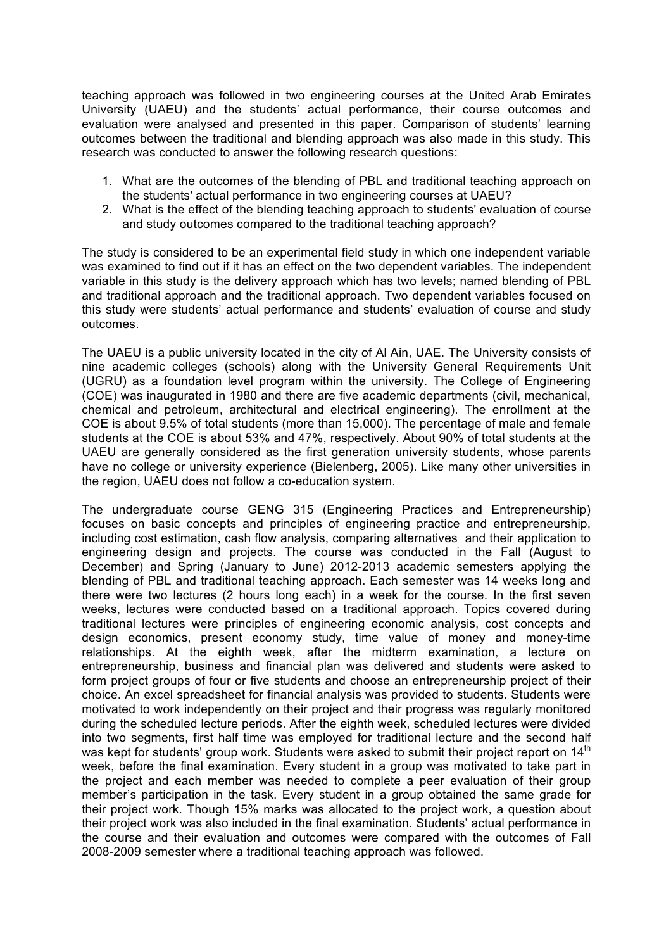teaching approach was followed in two engineering courses at the United Arab Emirates University (UAEU) and the students' actual performance, their course outcomes and evaluation were analysed and presented in this paper. Comparison of students' learning outcomes between the traditional and blending approach was also made in this study. This research was conducted to answer the following research questions:

- 1. What are the outcomes of the blending of PBL and traditional teaching approach on the students' actual performance in two engineering courses at UAEU?
- 2. What is the effect of the blending teaching approach to students' evaluation of course and study outcomes compared to the traditional teaching approach?

The study is considered to be an experimental field study in which one independent variable was examined to find out if it has an effect on the two dependent variables. The independent variable in this study is the delivery approach which has two levels; named blending of PBL and traditional approach and the traditional approach. Two dependent variables focused on this study were students' actual performance and students' evaluation of course and study outcomes.

The UAEU is a public university located in the city of Al Ain, UAE. The University consists of nine academic colleges (schools) along with the University General Requirements Unit (UGRU) as a foundation level program within the university. The College of Engineering (COE) was inaugurated in 1980 and there are five academic departments (civil, mechanical, chemical and petroleum, architectural and electrical engineering). The enrollment at the COE is about 9.5% of total students (more than 15,000). The percentage of male and female students at the COE is about 53% and 47%, respectively. About 90% of total students at the UAEU are generally considered as the first generation university students, whose parents have no college or university experience (Bielenberg, 2005). Like many other universities in the region, UAEU does not follow a co-education system.

The undergraduate course GENG 315 (Engineering Practices and Entrepreneurship) focuses on basic concepts and principles of engineering practice and entrepreneurship, including cost estimation, cash flow analysis, comparing alternatives and their application to engineering design and projects. The course was conducted in the Fall (August to December) and Spring (January to June) 2012-2013 academic semesters applying the blending of PBL and traditional teaching approach. Each semester was 14 weeks long and there were two lectures (2 hours long each) in a week for the course. In the first seven weeks, lectures were conducted based on a traditional approach. Topics covered during traditional lectures were principles of engineering economic analysis, cost concepts and design economics, present economy study, time value of money and money-time relationships. At the eighth week, after the midterm examination, a lecture on entrepreneurship, business and financial plan was delivered and students were asked to form project groups of four or five students and choose an entrepreneurship project of their choice. An excel spreadsheet for financial analysis was provided to students. Students were motivated to work independently on their project and their progress was regularly monitored during the scheduled lecture periods. After the eighth week, scheduled lectures were divided into two segments, first half time was employed for traditional lecture and the second half was kept for students' group work. Students were asked to submit their project report on 14<sup>th</sup> week, before the final examination. Every student in a group was motivated to take part in the project and each member was needed to complete a peer evaluation of their group member's participation in the task. Every student in a group obtained the same grade for their project work. Though 15% marks was allocated to the project work, a question about their project work was also included in the final examination. Students' actual performance in the course and their evaluation and outcomes were compared with the outcomes of Fall 2008-2009 semester where a traditional teaching approach was followed.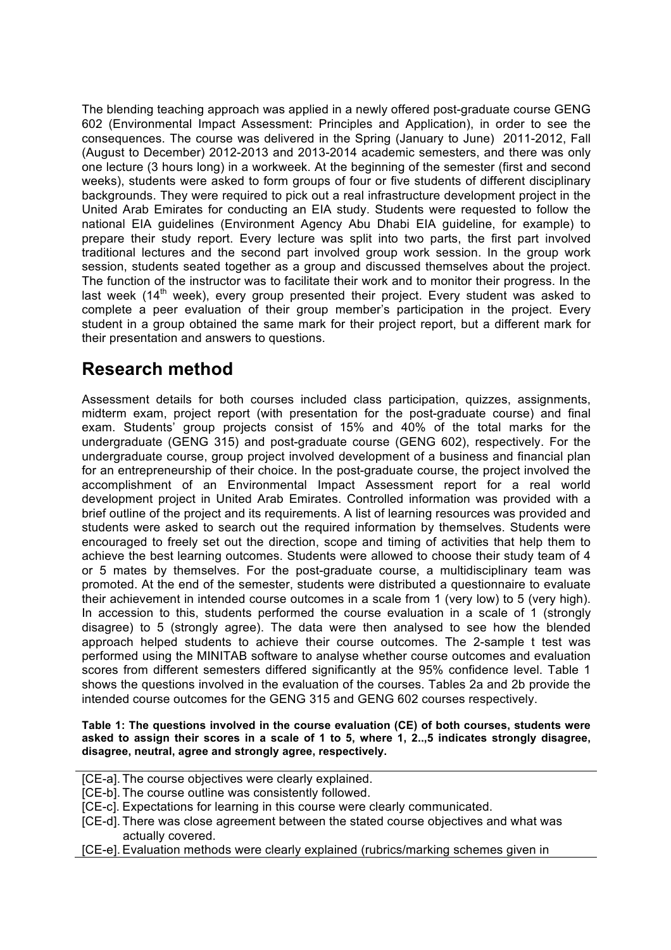The blending teaching approach was applied in a newly offered post-graduate course GENG 602 (Environmental Impact Assessment: Principles and Application), in order to see the consequences. The course was delivered in the Spring (January to June) 2011-2012, Fall (August to December) 2012-2013 and 2013-2014 academic semesters, and there was only one lecture (3 hours long) in a workweek. At the beginning of the semester (first and second weeks), students were asked to form groups of four or five students of different disciplinary backgrounds. They were required to pick out a real infrastructure development project in the United Arab Emirates for conducting an EIA study. Students were requested to follow the national EIA guidelines (Environment Agency Abu Dhabi EIA guideline, for example) to prepare their study report. Every lecture was split into two parts, the first part involved traditional lectures and the second part involved group work session. In the group work session, students seated together as a group and discussed themselves about the project. The function of the instructor was to facilitate their work and to monitor their progress. In the last week ( $14<sup>th</sup>$  week), every group presented their project. Every student was asked to complete a peer evaluation of their group member's participation in the project. Every student in a group obtained the same mark for their project report, but a different mark for their presentation and answers to questions.

# **Research method**

Assessment details for both courses included class participation, quizzes, assignments, midterm exam, project report (with presentation for the post-graduate course) and final exam. Students' group projects consist of 15% and 40% of the total marks for the undergraduate (GENG 315) and post-graduate course (GENG 602), respectively. For the undergraduate course, group project involved development of a business and financial plan for an entrepreneurship of their choice. In the post-graduate course, the project involved the accomplishment of an Environmental Impact Assessment report for a real world development project in United Arab Emirates. Controlled information was provided with a brief outline of the project and its requirements. A list of learning resources was provided and students were asked to search out the required information by themselves. Students were encouraged to freely set out the direction, scope and timing of activities that help them to achieve the best learning outcomes. Students were allowed to choose their study team of 4 or 5 mates by themselves. For the post-graduate course, a multidisciplinary team was promoted. At the end of the semester, students were distributed a questionnaire to evaluate their achievement in intended course outcomes in a scale from 1 (very low) to 5 (very high). In accession to this, students performed the course evaluation in a scale of 1 (strongly disagree) to 5 (strongly agree). The data were then analysed to see how the blended approach helped students to achieve their course outcomes. The 2-sample t test was performed using the MINITAB software to analyse whether course outcomes and evaluation scores from different semesters differed significantly at the 95% confidence level. Table 1 shows the questions involved in the evaluation of the courses. Tables 2a and 2b provide the intended course outcomes for the GENG 315 and GENG 602 courses respectively.

**Table 1: The questions involved in the course evaluation (CE) of both courses, students were asked to assign their scores in a scale of 1 to 5, where 1, 2..,5 indicates strongly disagree, disagree, neutral, agree and strongly agree, respectively.**

- [CE-a]. The course objectives were clearly explained.
- [CE-b]. The course outline was consistently followed.
- [CE-c]. Expectations for learning in this course were clearly communicated.
- [CE-d]. There was close agreement between the stated course objectives and what was actually covered.
- [CE-e]. Evaluation methods were clearly explained (rubrics/marking schemes given in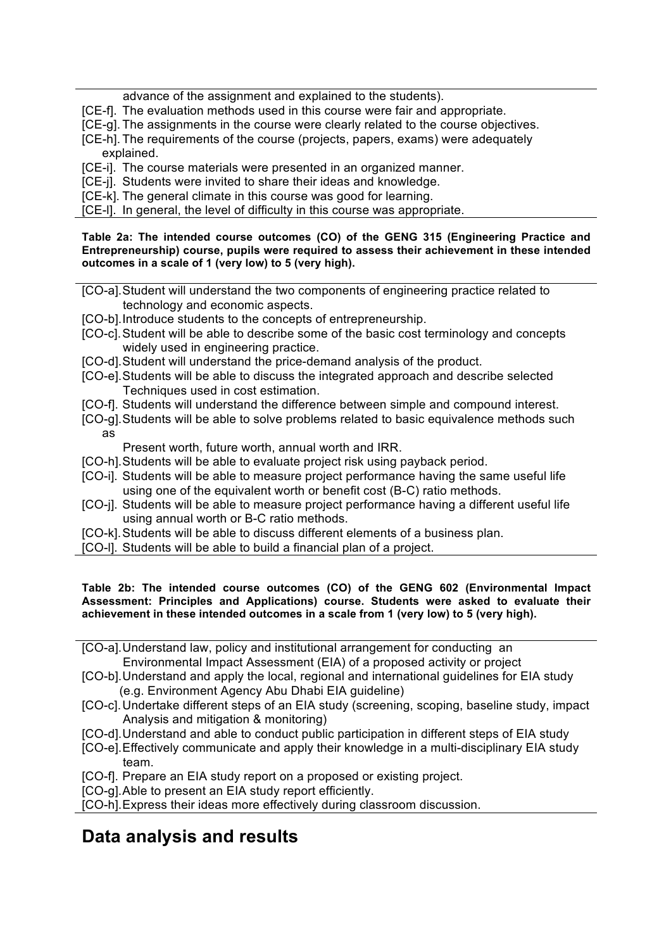advance of the assignment and explained to the students).

- [CE-f]. The evaluation methods used in this course were fair and appropriate.
- [CE-g]. The assignments in the course were clearly related to the course objectives.
- [CE-h]. The requirements of the course (projects, papers, exams) were adequately explained.
- [CE-i]. The course materials were presented in an organized manner.
- [CE-j]. Students were invited to share their ideas and knowledge.
- [CE-k]. The general climate in this course was good for learning.
- [CE-l]. In general, the level of difficulty in this course was appropriate.

**Table 2a: The intended course outcomes (CO) of the GENG 315 (Engineering Practice and Entrepreneurship) course, pupils were required to assess their achievement in these intended outcomes in a scale of 1 (very low) to 5 (very high).**

- [CO-a].Student will understand the two components of engineering practice related to technology and economic aspects.
- [CO-b].Introduce students to the concepts of entrepreneurship.
- [CO-c].Student will be able to describe some of the basic cost terminology and concepts widely used in engineering practice.
- [CO-d].Student will understand the price-demand analysis of the product.
- [CO-e].Students will be able to discuss the integrated approach and describe selected Techniques used in cost estimation.
- [CO-f]. Students will understand the difference between simple and compound interest.
- [CO-g].Students will be able to solve problems related to basic equivalence methods such as
	- Present worth, future worth, annual worth and IRR.
- [CO-h].Students will be able to evaluate project risk using payback period.
- [CO-i]. Students will be able to measure project performance having the same useful life using one of the equivalent worth or benefit cost (B-C) ratio methods.
- [CO-j]. Students will be able to measure project performance having a different useful life using annual worth or B-C ratio methods.
- [CO-k].Students will be able to discuss different elements of a business plan.
- [CO-l]. Students will be able to build a financial plan of a project.

**Table 2b: The intended course outcomes (CO) of the GENG 602 (Environmental Impact Assessment: Principles and Applications) course. Students were asked to evaluate their achievement in these intended outcomes in a scale from 1 (very low) to 5 (very high).**

- [CO-a].Understand law, policy and institutional arrangement for conducting an Environmental Impact Assessment (EIA) of a proposed activity or project
- [CO-b].Understand and apply the local, regional and international guidelines for EIA study (e.g. Environment Agency Abu Dhabi EIA guideline)
- [CO-c].Undertake different steps of an EIA study (screening, scoping, baseline study, impact Analysis and mitigation & monitoring)
- [CO-d].Understand and able to conduct public participation in different steps of EIA study
- [CO-e].Effectively communicate and apply their knowledge in a multi-disciplinary EIA study team.
- [CO-f]. Prepare an EIA study report on a proposed or existing project.
- [CO-g].Able to present an EIA study report efficiently.

[CO-h].Express their ideas more effectively during classroom discussion.

## **Data analysis and results**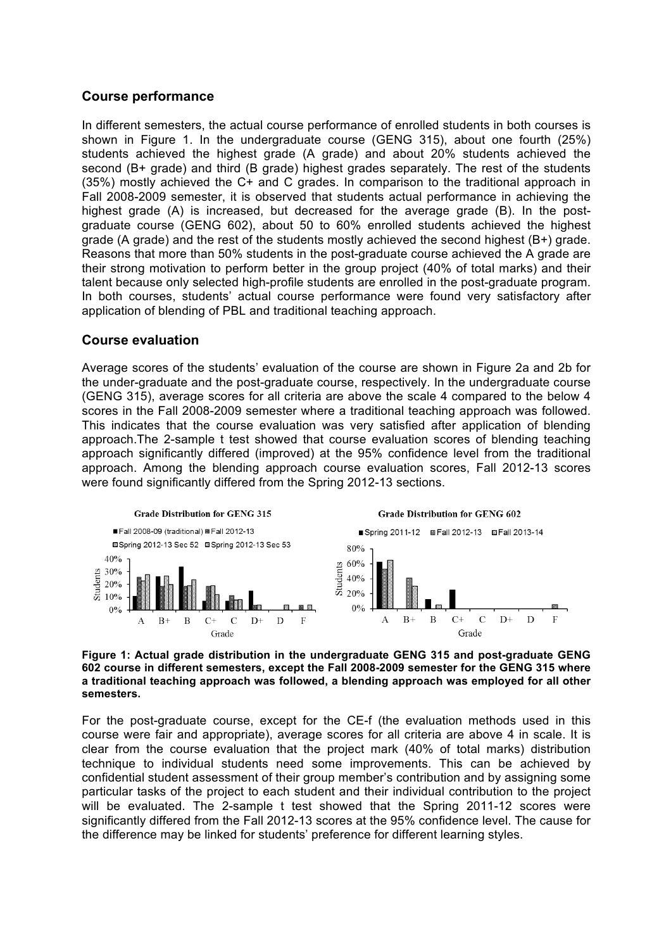### **Course performance**

In different semesters, the actual course performance of enrolled students in both courses is shown in Figure 1. In the undergraduate course (GENG 315), about one fourth (25%) students achieved the highest grade (A grade) and about 20% students achieved the second (B+ grade) and third (B grade) highest grades separately. The rest of the students (35%) mostly achieved the C+ and C grades. In comparison to the traditional approach in Fall 2008-2009 semester, it is observed that students actual performance in achieving the highest grade (A) is increased, but decreased for the average grade (B). In the postgraduate course (GENG 602), about 50 to 60% enrolled students achieved the highest grade (A grade) and the rest of the students mostly achieved the second highest (B+) grade. Reasons that more than 50% students in the post-graduate course achieved the A grade are their strong motivation to perform better in the group project (40% of total marks) and their talent because only selected high-profile students are enrolled in the post-graduate program. In both courses, students' actual course performance were found very satisfactory after application of blending of PBL and traditional teaching approach.

### **Course evaluation**

Average scores of the students' evaluation of the course are shown in Figure 2a and 2b for the under-graduate and the post-graduate course, respectively. In the undergraduate course (GENG 315), average scores for all criteria are above the scale 4 compared to the below 4 scores in the Fall 2008-2009 semester where a traditional teaching approach was followed. This indicates that the course evaluation was very satisfied after application of blending approach.The 2-sample t test showed that course evaluation scores of blending teaching approach significantly differed (improved) at the 95% confidence level from the traditional approach. Among the blending approach course evaluation scores, Fall 2012-13 scores were found significantly differed from the Spring 2012-13 sections.



### **Figure 1: Actual grade distribution in the undergraduate GENG 315 and post-graduate GENG 602 course in different semesters, except the Fall 2008-2009 semester for the GENG 315 where a traditional teaching approach was followed, a blending approach was employed for all other semesters.**

For the post-graduate course, except for the CE-f (the evaluation methods used in this course were fair and appropriate), average scores for all criteria are above 4 in scale. It is clear from the course evaluation that the project mark (40% of total marks) distribution technique to individual students need some improvements. This can be achieved by confidential student assessment of their group member's contribution and by assigning some particular tasks of the project to each student and their individual contribution to the project will be evaluated. The 2-sample t test showed that the Spring 2011-12 scores were significantly differed from the Fall 2012-13 scores at the 95% confidence level. The cause for the difference may be linked for students' preference for different learning styles.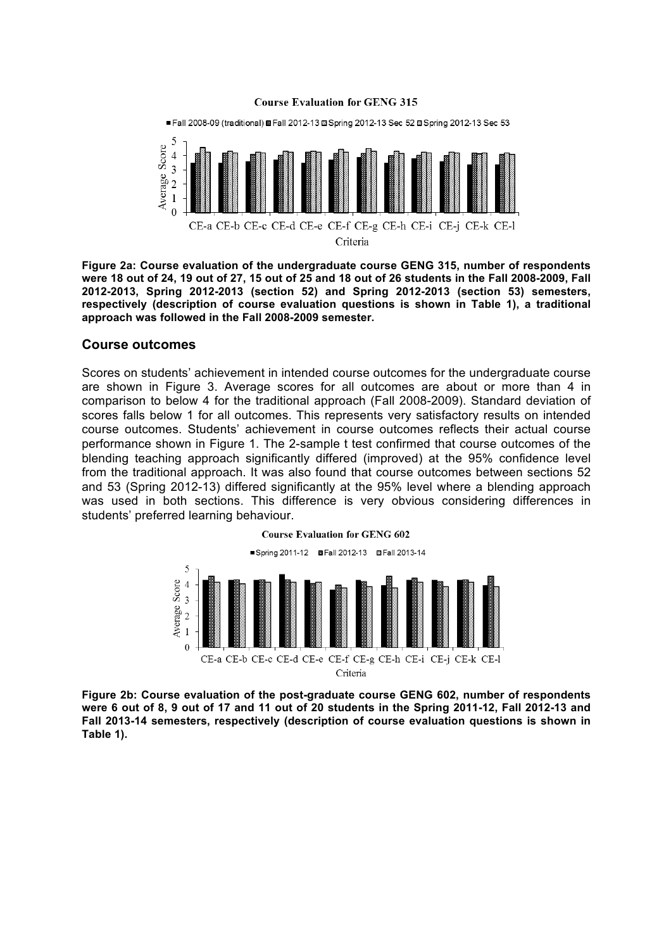#### **Course Evaluation for GENG 315**



**Figure 2a: Course evaluation of the undergraduate course GENG 315, number of respondents were 18 out of 24, 19 out of 27, 15 out of 25 and 18 out of 26 students in the Fall 2008-2009, Fall 2012-2013, Spring 2012-2013 (section 52) and Spring 2012-2013 (section 53) semesters, respectively (description of course evaluation questions is shown in Table 1), a traditional approach was followed in the Fall 2008-2009 semester.**

### **Course outcomes**

Scores on students' achievement in intended course outcomes for the undergraduate course are shown in Figure 3. Average scores for all outcomes are about or more than 4 in comparison to below 4 for the traditional approach (Fall 2008-2009). Standard deviation of scores falls below 1 for all outcomes. This represents very satisfactory results on intended course outcomes. Students' achievement in course outcomes reflects their actual course performance shown in Figure 1. The 2-sample t test confirmed that course outcomes of the blending teaching approach significantly differed (improved) at the 95% confidence level from the traditional approach. It was also found that course outcomes between sections 52 and 53 (Spring 2012-13) differed significantly at the 95% level where a blending approach was used in both sections. This difference is very obvious considering differences in students' preferred learning behaviour.



**Figure 2b: Course evaluation of the post-graduate course GENG 602, number of respondents were 6 out of 8, 9 out of 17 and 11 out of 20 students in the Spring 2011-12, Fall 2012-13 and Fall 2013-14 semesters, respectively (description of course evaluation questions is shown in Table 1).**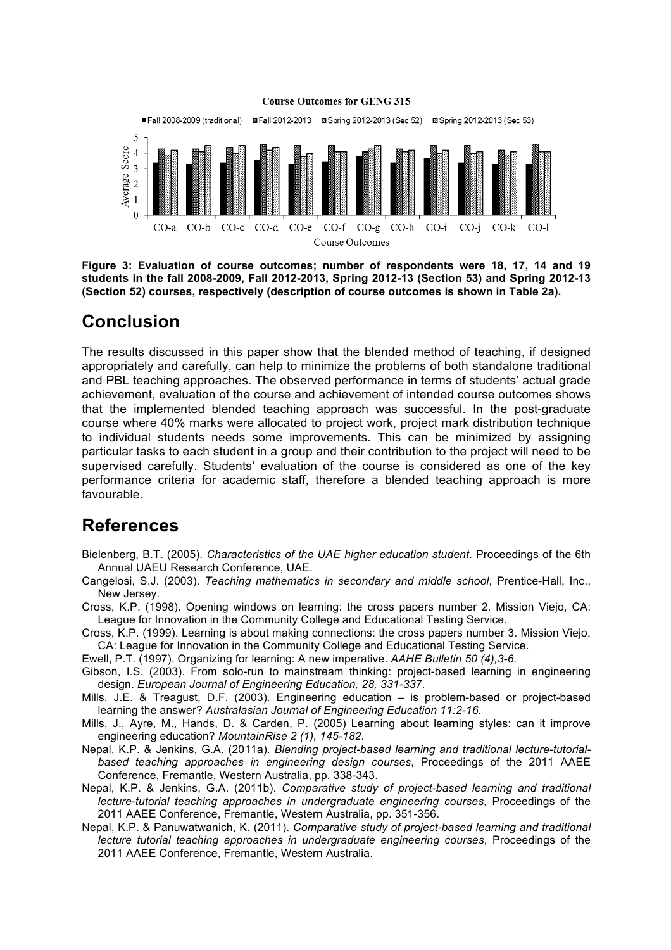

**Figure 3: Evaluation of course outcomes; number of respondents were 18, 17, 14 and 19 students in the fall 2008-2009, Fall 2012-2013, Spring 2012-13 (Section 53) and Spring 2012-13 (Section 52) courses, respectively (description of course outcomes is shown in Table 2a).**

# **Conclusion**

The results discussed in this paper show that the blended method of teaching, if designed appropriately and carefully, can help to minimize the problems of both standalone traditional and PBL teaching approaches. The observed performance in terms of students' actual grade achievement, evaluation of the course and achievement of intended course outcomes shows that the implemented blended teaching approach was successful. In the post-graduate course where 40% marks were allocated to project work, project mark distribution technique to individual students needs some improvements. This can be minimized by assigning particular tasks to each student in a group and their contribution to the project will need to be supervised carefully. Students' evaluation of the course is considered as one of the key performance criteria for academic staff, therefore a blended teaching approach is more favourable.

## **References**

- Bielenberg, B.T. (2005). *Characteristics of the UAE higher education student*. Proceedings of the 6th Annual UAEU Research Conference, UAE.
- Cangelosi, S.J. (2003). *Teaching mathematics in secondary and middle school*, Prentice-Hall, Inc., New Jersey.
- Cross, K.P. (1998). Opening windows on learning: the cross papers number 2. Mission Viejo, CA: League for Innovation in the Community College and Educational Testing Service.
- Cross, K.P. (1999). Learning is about making connections: the cross papers number 3. Mission Viejo, CA: League for Innovation in the Community College and Educational Testing Service.
- Ewell, P.T. (1997). Organizing for learning: A new imperative. *AAHE Bulletin 50 (4),3-6.*
- Gibson, I.S. (2003). From solo-run to mainstream thinking: project-based learning in engineering design. *European Journal of Engineering Education, 28, 331-337*.
- Mills, J.E. & Treagust, D.F. (2003). Engineering education is problem-based or project-based learning the answer? *Australasian Journal of Engineering Education 11:2-16.*
- Mills, J., Ayre, M., Hands, D. & Carden, P. (2005) Learning about learning styles: can it improve engineering education? *MountainRise 2 (1), 145-182*.
- Nepal, K.P. & Jenkins, G.A. (2011a). *Blending project-based learning and traditional lecture-tutorialbased teaching approaches in engineering design courses*, Proceedings of the 2011 AAEE Conference, Fremantle, Western Australia, pp. 338-343.
- Nepal, K.P. & Jenkins, G.A. (2011b). *Comparative study of project-based learning and traditional lecture-tutorial teaching approaches in undergraduate engineering courses*, Proceedings of the 2011 AAEE Conference, Fremantle, Western Australia, pp. 351-356.
- Nepal, K.P. & Panuwatwanich, K. (2011). *Comparative study of project-based learning and traditional lecture tutorial teaching approaches in undergraduate engineering courses*, Proceedings of the 2011 AAEE Conference, Fremantle, Western Australia.